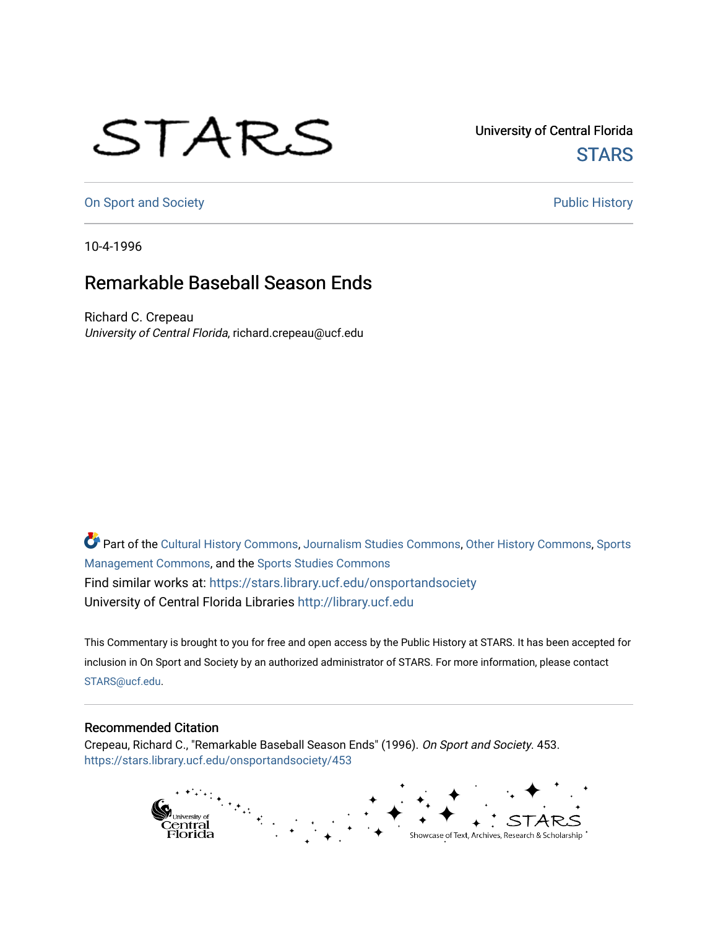## STARS

University of Central Florida **STARS** 

[On Sport and Society](https://stars.library.ucf.edu/onsportandsociety) **Public History** Public History

10-4-1996

## Remarkable Baseball Season Ends

Richard C. Crepeau University of Central Florida, richard.crepeau@ucf.edu

Part of the [Cultural History Commons](http://network.bepress.com/hgg/discipline/496?utm_source=stars.library.ucf.edu%2Fonsportandsociety%2F453&utm_medium=PDF&utm_campaign=PDFCoverPages), [Journalism Studies Commons,](http://network.bepress.com/hgg/discipline/333?utm_source=stars.library.ucf.edu%2Fonsportandsociety%2F453&utm_medium=PDF&utm_campaign=PDFCoverPages) [Other History Commons,](http://network.bepress.com/hgg/discipline/508?utm_source=stars.library.ucf.edu%2Fonsportandsociety%2F453&utm_medium=PDF&utm_campaign=PDFCoverPages) [Sports](http://network.bepress.com/hgg/discipline/1193?utm_source=stars.library.ucf.edu%2Fonsportandsociety%2F453&utm_medium=PDF&utm_campaign=PDFCoverPages) [Management Commons](http://network.bepress.com/hgg/discipline/1193?utm_source=stars.library.ucf.edu%2Fonsportandsociety%2F453&utm_medium=PDF&utm_campaign=PDFCoverPages), and the [Sports Studies Commons](http://network.bepress.com/hgg/discipline/1198?utm_source=stars.library.ucf.edu%2Fonsportandsociety%2F453&utm_medium=PDF&utm_campaign=PDFCoverPages) Find similar works at: <https://stars.library.ucf.edu/onsportandsociety> University of Central Florida Libraries [http://library.ucf.edu](http://library.ucf.edu/) 

This Commentary is brought to you for free and open access by the Public History at STARS. It has been accepted for inclusion in On Sport and Society by an authorized administrator of STARS. For more information, please contact [STARS@ucf.edu](mailto:STARS@ucf.edu).

## Recommended Citation

Crepeau, Richard C., "Remarkable Baseball Season Ends" (1996). On Sport and Society. 453. [https://stars.library.ucf.edu/onsportandsociety/453](https://stars.library.ucf.edu/onsportandsociety/453?utm_source=stars.library.ucf.edu%2Fonsportandsociety%2F453&utm_medium=PDF&utm_campaign=PDFCoverPages)

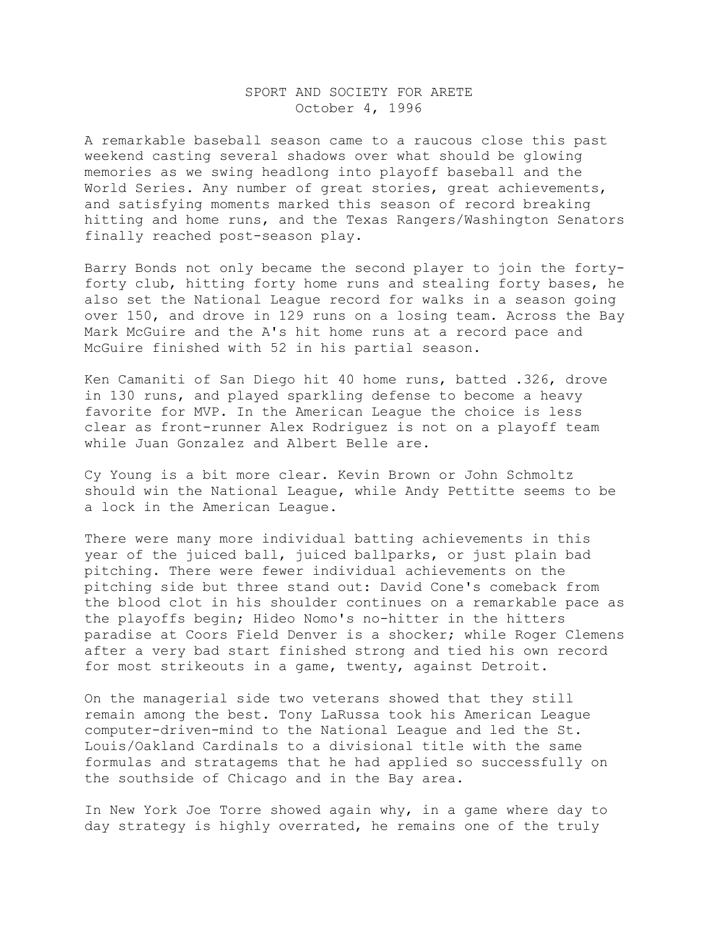## SPORT AND SOCIETY FOR ARETE October 4, 1996

A remarkable baseball season came to a raucous close this past weekend casting several shadows over what should be glowing memories as we swing headlong into playoff baseball and the World Series. Any number of great stories, great achievements, and satisfying moments marked this season of record breaking hitting and home runs, and the Texas Rangers/Washington Senators finally reached post-season play.

Barry Bonds not only became the second player to join the fortyforty club, hitting forty home runs and stealing forty bases, he also set the National League record for walks in a season going over 150, and drove in 129 runs on a losing team. Across the Bay Mark McGuire and the A's hit home runs at a record pace and McGuire finished with 52 in his partial season.

Ken Camaniti of San Diego hit 40 home runs, batted .326, drove in 130 runs, and played sparkling defense to become a heavy favorite for MVP. In the American League the choice is less clear as front-runner Alex Rodriguez is not on a playoff team while Juan Gonzalez and Albert Belle are.

Cy Young is a bit more clear. Kevin Brown or John Schmoltz should win the National League, while Andy Pettitte seems to be a lock in the American League.

There were many more individual batting achievements in this year of the juiced ball, juiced ballparks, or just plain bad pitching. There were fewer individual achievements on the pitching side but three stand out: David Cone's comeback from the blood clot in his shoulder continues on a remarkable pace as the playoffs begin; Hideo Nomo's no-hitter in the hitters paradise at Coors Field Denver is a shocker; while Roger Clemens after a very bad start finished strong and tied his own record for most strikeouts in a game, twenty, against Detroit.

On the managerial side two veterans showed that they still remain among the best. Tony LaRussa took his American League computer-driven-mind to the National League and led the St. Louis/Oakland Cardinals to a divisional title with the same formulas and stratagems that he had applied so successfully on the southside of Chicago and in the Bay area.

In New York Joe Torre showed again why, in a game where day to day strategy is highly overrated, he remains one of the truly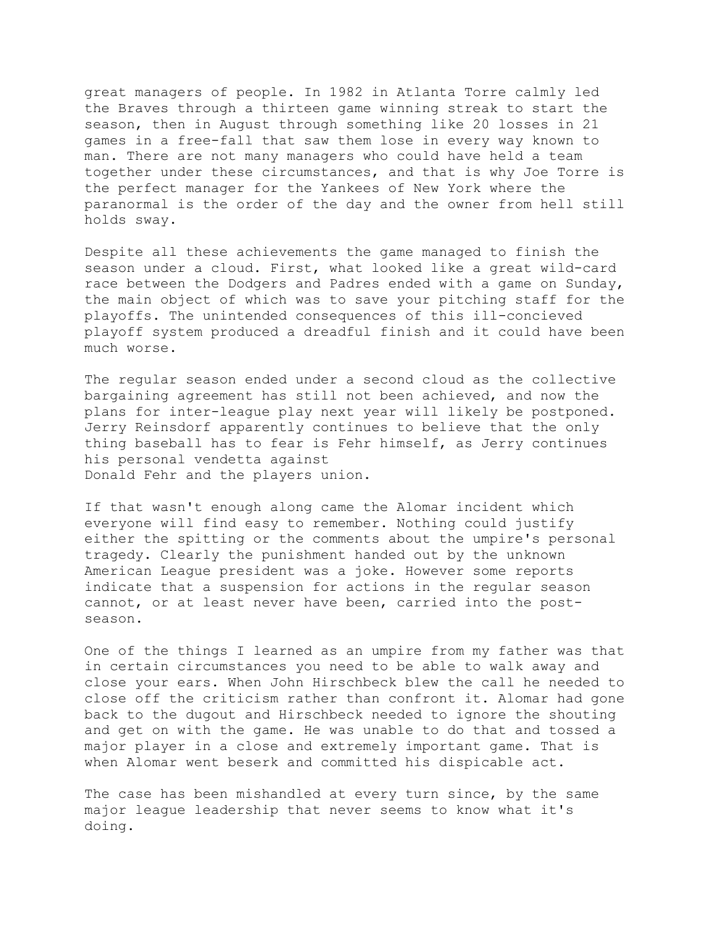great managers of people. In 1982 in Atlanta Torre calmly led the Braves through a thirteen game winning streak to start the season, then in August through something like 20 losses in 21 games in a free-fall that saw them lose in every way known to man. There are not many managers who could have held a team together under these circumstances, and that is why Joe Torre is the perfect manager for the Yankees of New York where the paranormal is the order of the day and the owner from hell still holds sway.

Despite all these achievements the game managed to finish the season under a cloud. First, what looked like a great wild-card race between the Dodgers and Padres ended with a game on Sunday, the main object of which was to save your pitching staff for the playoffs. The unintended consequences of this ill-concieved playoff system produced a dreadful finish and it could have been much worse.

The regular season ended under a second cloud as the collective bargaining agreement has still not been achieved, and now the plans for inter-league play next year will likely be postponed. Jerry Reinsdorf apparently continues to believe that the only thing baseball has to fear is Fehr himself, as Jerry continues his personal vendetta against Donald Fehr and the players union.

If that wasn't enough along came the Alomar incident which everyone will find easy to remember. Nothing could justify either the spitting or the comments about the umpire's personal tragedy. Clearly the punishment handed out by the unknown American League president was a joke. However some reports indicate that a suspension for actions in the regular season cannot, or at least never have been, carried into the postseason.

One of the things I learned as an umpire from my father was that in certain circumstances you need to be able to walk away and close your ears. When John Hirschbeck blew the call he needed to close off the criticism rather than confront it. Alomar had gone back to the dugout and Hirschbeck needed to ignore the shouting and get on with the game. He was unable to do that and tossed a major player in a close and extremely important game. That is when Alomar went beserk and committed his dispicable act.

The case has been mishandled at every turn since, by the same major league leadership that never seems to know what it's doing.